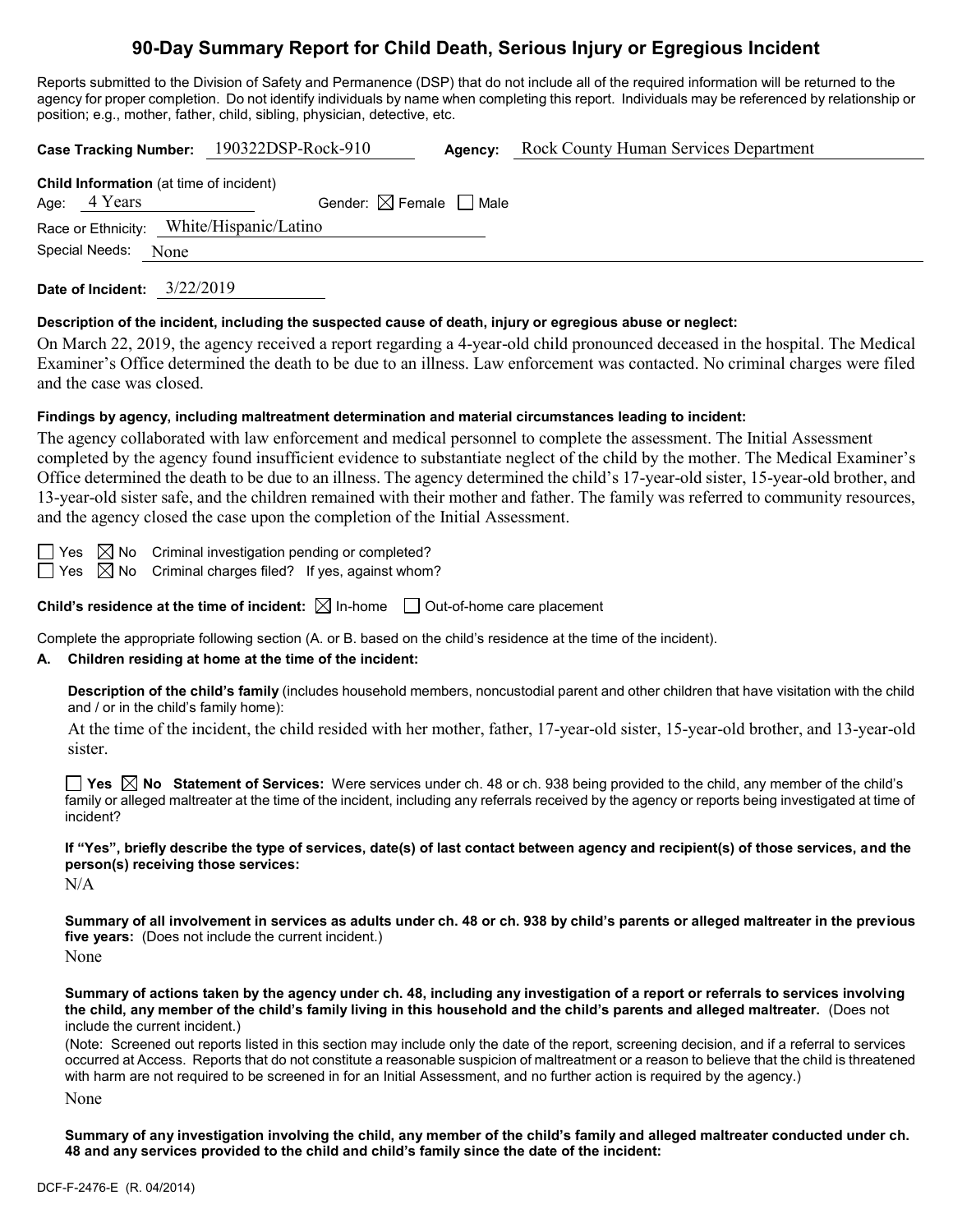# **90-Day Summary Report for Child Death, Serious Injury or Egregious Incident**

Reports submitted to the Division of Safety and Permanence (DSP) that do not include all of the required information will be returned to the agency for proper completion. Do not identify individuals by name when completing this report. Individuals may be referenced by relationship or position; e.g., mother, father, child, sibling, physician, detective, etc.

|                                                                  |      | Case Tracking Number: 190322DSP-Rock-910 | Agency: | <b>Rock County Human Services Department</b> |  |
|------------------------------------------------------------------|------|------------------------------------------|---------|----------------------------------------------|--|
| <b>Child Information</b> (at time of incident)<br>Age: $4$ Years |      | Gender: $\boxtimes$ Female $\Box$ Male   |         |                                              |  |
| Special Needs:                                                   | None | Race or Ethnicity: White/Hispanic/Latino |         |                                              |  |

**Date of Incident:** 3/22/2019

#### **Description of the incident, including the suspected cause of death, injury or egregious abuse or neglect:**

On March 22, 2019, the agency received a report regarding a 4-year-old child pronounced deceased in the hospital. The Medical Examiner's Office determined the death to be due to an illness. Law enforcement was contacted. No criminal charges were filed and the case was closed.

#### **Findings by agency, including maltreatment determination and material circumstances leading to incident:**

The agency collaborated with law enforcement and medical personnel to complete the assessment. The Initial Assessment completed by the agency found insufficient evidence to substantiate neglect of the child by the mother. The Medical Examiner's Office determined the death to be due to an illness. The agency determined the child's 17-year-old sister, 15-year-old brother, and 13-year-old sister safe, and the children remained with their mother and father. The family was referred to community resources, and the agency closed the case upon the completion of the Initial Assessment.

 $\Box$  Yes  $\boxtimes$  No Criminal investigation pending or completed?  $\Box$  Yes  $\boxtimes$  No Criminal charges filed? If yes, against whom?

**Child's residence at the time of incident:**  $\boxtimes$  In-home  $\Box$  Out-of-home care placement

Complete the appropriate following section (A. or B. based on the child's residence at the time of the incident).

## **A. Children residing at home at the time of the incident:**

**Description of the child's family** (includes household members, noncustodial parent and other children that have visitation with the child and / or in the child's family home):

At the time of the incident, the child resided with her mother, father, 17-year-old sister, 15-year-old brother, and 13-year-old sister.

**Yes No Statement of Services:** Were services under ch. 48 or ch. 938 being provided to the child, any member of the child's family or alleged maltreater at the time of the incident, including any referrals received by the agency or reports being investigated at time of incident?

**If "Yes", briefly describe the type of services, date(s) of last contact between agency and recipient(s) of those services, and the person(s) receiving those services:**

N/A

**Summary of all involvement in services as adults under ch. 48 or ch. 938 by child's parents or alleged maltreater in the previous five years:** (Does not include the current incident.)

None

**Summary of actions taken by the agency under ch. 48, including any investigation of a report or referrals to services involving the child, any member of the child's family living in this household and the child's parents and alleged maltreater.** (Does not include the current incident.)

(Note: Screened out reports listed in this section may include only the date of the report, screening decision, and if a referral to services occurred at Access. Reports that do not constitute a reasonable suspicion of maltreatment or a reason to believe that the child is threatened with harm are not required to be screened in for an Initial Assessment, and no further action is required by the agency.) None

**Summary of any investigation involving the child, any member of the child's family and alleged maltreater conducted under ch. 48 and any services provided to the child and child's family since the date of the incident:**